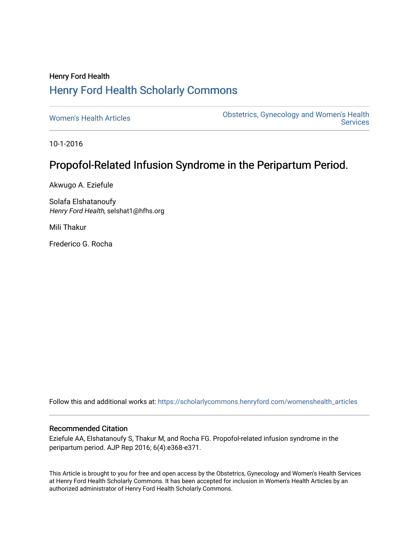## Henry Ford Health [Henry Ford Health Scholarly Commons](https://scholarlycommons.henryford.com/)

[Women's Health Articles](https://scholarlycommons.henryford.com/womenshealth_articles) **Constructed Articles** Obstetrics, Gynecology and Women's Health [Services](https://scholarlycommons.henryford.com/womenshealth) 

10-1-2016

# Propofol-Related Infusion Syndrome in the Peripartum Period.

Akwugo A. Eziefule

Solafa Elshatanoufy Henry Ford Health, selshat1@hfhs.org

Mili Thakur

Frederico G. Rocha

Follow this and additional works at: [https://scholarlycommons.henryford.com/womenshealth\\_articles](https://scholarlycommons.henryford.com/womenshealth_articles?utm_source=scholarlycommons.henryford.com%2Fwomenshealth_articles%2F41&utm_medium=PDF&utm_campaign=PDFCoverPages) 

## Recommended Citation

Eziefule AA, Elshatanoufy S, Thakur M, and Rocha FG. Propofol-related infusion syndrome in the peripartum period. AJP Rep 2016; 6(4):e368-e371.

This Article is brought to you for free and open access by the Obstetrics, Gynecology and Women's Health Services at Henry Ford Health Scholarly Commons. It has been accepted for inclusion in Women's Health Articles by an authorized administrator of Henry Ford Health Scholarly Commons.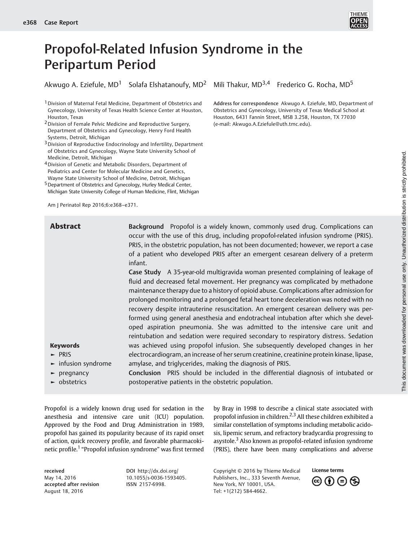

# Propofol-Related Infusion Syndrome in the Peripartum Period

Akwugo A. Eziefule, MD<sup>1</sup> Solafa Elshatanoufy, MD<sup>2</sup> Mili Thakur, MD<sup>3,4</sup> Frederico G. Rocha, MD<sup>5</sup>

<sup>1</sup> Division of Maternal Fetal Medicine, Department of Obstetrics and Gynecology, University of Texas Health Science Center at Houston, Houston, Texas

2Division of Female Pelvic Medicine and Reproductive Surgery, Department of Obstetrics and Gynecology, Henry Ford Health Systems, Detroit, Michigan

3Division of Reproductive Endocrinology and Infertility, Department of Obstetrics and Gynecology, Wayne State University School of Medicine, Detroit, Michigan

4Division of Genetic and Metabolic Disorders, Department of Pediatrics and Center for Molecular Medicine and Genetics, Wayne State University School of Medicine, Detroit, Michigan

5Department of Obstetrics and Gynecology, Hurley Medical Center, Michigan State University College of Human Medicine, Flint, Michigan

Am J Perinatol Rep 2016;6:e368–e371.

Address for correspondence Akwugo A. Eziefule, MD, Department of Obstetrics and Gynecology, University of Texas Medical School at Houston, 6431 Fannin Street, MSB 3.258, Houston, TX 77030 (e-mail: [Akwugo.A.Eziefule@uth.tmc.edu\)](mailto:Akwugo.A.Eziefule@uth.tmc.edu).

| <b>Abstract</b>                         | Background Propofol is a widely known, commonly used drug. Complications can<br>occur with the use of this drug, including propofol-related infusion syndrome (PRIS).<br>PRIS, in the obstetric population, has not been documented; however, we report a case<br>of a patient who developed PRIS after an emergent cesarean delivery of a preterm<br>infant. |
|-----------------------------------------|---------------------------------------------------------------------------------------------------------------------------------------------------------------------------------------------------------------------------------------------------------------------------------------------------------------------------------------------------------------|
|                                         | Case Study A 35-year-old multigravida woman presented complaining of leakage of<br>fluid and decreased fetal movement. Her pregnancy was complicated by methadone                                                                                                                                                                                             |
|                                         | maintenance therapy due to a history of opioid abuse. Complications after admission for                                                                                                                                                                                                                                                                       |
|                                         | prolonged monitoring and a prolonged fetal heart tone deceleration was noted with no<br>recovery despite intrauterine resuscitation. An emergent cesarean delivery was per-                                                                                                                                                                                   |
|                                         | formed using general anesthesia and endotracheal intubation after which she devel-<br>oped aspiration pneumonia. She was admitted to the intensive care unit and                                                                                                                                                                                              |
|                                         | reintubation and sedation were required secondary to respiratory distress. Sedation                                                                                                                                                                                                                                                                           |
| <b>Keywords</b>                         | was achieved using propofol infusion. She subsequently developed changes in her                                                                                                                                                                                                                                                                               |
| $\blacktriangleright$ PRIS              | electrocardiogram, an increase of her serum creatinine, creatinine protein kinase, lipase,                                                                                                                                                                                                                                                                    |
| $\blacktriangleright$ infusion syndrome | amylase, and triglycerides, making the diagnosis of PRIS.                                                                                                                                                                                                                                                                                                     |
| $\blacktriangleright$ pregnancy         | Conclusion PRIS should be included in the differential diagnosis of intubated or                                                                                                                                                                                                                                                                              |
| $\blacktriangleright$ obstetrics        | postoperative patients in the obstetric population.                                                                                                                                                                                                                                                                                                           |

Propofol is a widely known drug used for sedation in the anesthesia and intensive care unit (ICU) population. Approved by the Food and Drug Administration in 1989, propofol has gained its popularity because of its rapid onset of action, quick recovery profile, and favorable pharmacokinetic profile.<sup>1</sup> "Propofol infusion syndrome" was first termed

by Bray in 1998 to describe a clinical state associated with propofol infusion in children.<sup>2,3</sup> All these children exhibited a similar constellation of symptoms including metabolic acidosis, lipemic serum, and refractory bradycardia progressing to asystole.<sup>3</sup> Also known as propofol-related infusion syndrome (PRIS), there have been many complications and adverse

received May 14, 2016 accepted after revision August 18, 2016

DOI [http://dx.doi.org/](http://dx.doi.org/10.1055/s-0036-1593405) [10.1055/s-0036-1593405.](http://dx.doi.org/10.1055/s-0036-1593405) ISSN 2157-6998.

Copyright © 2016 by Thieme Medical Publishers, Inc., 333 Seventh Avenue, New York, NY 10001, USA. Tel: +1(212) 584-4662.

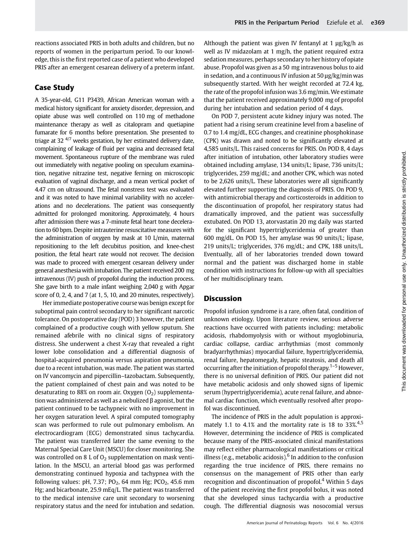### Case Study

A 35-year-old, G11 P3439, African American woman with a medical history significant for anxiety disorder, depression, and opiate abuse was well controlled on 110 mg of methadone maintenance therapy as well as citalopram and quetiapine fumarate for 6 months before presentation. She presented to triage at 32<sup>4/7</sup> weeks gestation, by her estimated delivery date, complaining of leakage of fluid per vagina and decreased fetal movement. Spontaneous rupture of the membrane was ruled out immediately with negative pooling on speculum examination, negative nitrazine test, negative ferning on microscopic evaluation of vaginal discharge, and a mean vertical pocket of 4.47 cm on ultrasound. The fetal nonstress test was evaluated and it was noted to have minimal variability with no accelerations and no decelerations. The patient was consequently admitted for prolonged monitoring. Approximately, 4 hours after admission there was a 7-minute fetal heart tone deceleration to 60 bpm. Despite intrauterine resuscitative measures with the administration of oxygen by mask at 10 L/min, maternal repositioning to the left decubitus position, and knee-chest position, the fetal heart rate would not recover. The decision was made to proceed with emergent cesarean delivery under general anesthesia with intubation. The patient received 200 mg intravenous (IV) push of propofol during the induction process. She gave birth to a male infant weighing 2,040 g with Apgar score of 0, 2, 4, and 7 (at 1, 5, 10, and 20 minutes, respectively).

Her immediate postoperative course was benign except for suboptimal pain control secondary to her significant narcotic tolerance. On postoperative day (POD) 3 however, the patient complained of a productive cough with yellow sputum. She remained afebrile with no clinical signs of respiratory distress. She underwent a chest X-ray that revealed a right lower lobe consolidation and a differential diagnosis of hospital-acquired pneumonia versus aspiration pneumonia, due to a recent intubation, was made. The patient was started on IV vancomycin and pipercillin–tazobactam. Subsequently, the patient complained of chest pain and was noted to be desaturating to 88% on room air. Oxygen  $(0<sub>2</sub>)$  supplementation was administered as well as a nebulized β agonist, but the patient continued to be tachypneic with no improvement in her oxygen saturation level. A spiral computed tomography scan was performed to rule out pulmonary embolism. An electrocardiogram (ECG) demonstrated sinus tachycardia. The patient was transferred later the same evening to the Maternal Special Care Unit (MSCU) for closer monitoring. She was controlled on 8 L of  $O<sub>2</sub>$  supplementation on mask ventilation. In the MSCU, an arterial blood gas was performed demonstrating continued hypoxia and tachypnea with the following values: pH, 7.37; PO<sub>2</sub>, 64 mm Hg; PCO<sub>2</sub>, 45.6 mm Hg; and bicarbonate, 25.9 mEq/L. The patient was transferred to the medical intensive care unit secondary to worsening respiratory status and the need for intubation and sedation. Although the patient was given IV fentanyl at 1 μg/kg/h as well as IV midazolam at 1 mg/h, the patient required extra sedation measures, perhaps secondary to her history of opiate abuse. Propofol was given as a 50 mg intravenous bolus to aid in sedation, and a continuous IV infusion at 50 μg/kg/min was subsequently started. With her weight recorded at 72.4 kg, the rate of the propofol infusion was 3.6 mg/min. We estimate that the patient received approximately 9,000 mg of propofol during her intubation and sedation period of 4 days.

On POD 7, persistent acute kidney injury was noted. The patient had a rising serum creatinine level from a baseline of 0.7 to 1.4 mg/dL, ECG changes, and creatinine phosphokinase (CPK) was drawn and noted to be significantly elevated at 4,585 units/L. This raised concerns for PRIS. On POD 8, 4 days after initiation of intubation, other laboratory studies were obtained including amylase, 134 units/L; lipase, 736 units/L; triglycerides, 259 mg/dL; and another CPK, which was noted to be 2,626 units/L. These laboratories were all significantly elevated further supporting the diagnosis of PRIS. On POD 9, with antimicrobial therapy and corticosteroids in addition to the discontinuation of propofol, her respiratory status had dramatically improved, and the patient was successfully extubated. On POD 13, atorvastatin 20 mg daily was started for the significant hypertriglyceridemia of greater than 600 mg/dL. On POD 15, her amylase was 90 units/L; lipase, 219 units/L; triglycerides, 376 mg/dL; and CPK, 188 units/L. Eventually, all of her laboratories trended down toward normal and the patient was discharged home in stable condition with instructions for follow-up with all specialties of her multidisciplinary team.

### **Discussion**

Propofol infusion syndrome is a rare, often fatal, condition of unknown etiology. Upon literature review, serious adverse reactions have occurred with patients including: metabolic acidosis, rhabdomyolysis with or without myoglobinuria, cardiac collapse, cardiac arrhythmias (most commonly bradyarrhythmias) myocardial failure, hypertriglyceridemia, renal failure, hepatomegaly, hepatic steatosis, and death all occurring after the initiation of propofol therapy.<sup>1–5</sup> However, there is no universal definition of PRIS. Our patient did not have metabolic acidosis and only showed signs of lipemic serum (hypertriglyceridemia), acute renal failure, and abnormal cardiac function, which eventually resolved after propofol was discontinued.

The incidence of PRIS in the adult population is approximately 1.1 to 4.1% and the mortality rate is 18 to 33%.<sup>4,5</sup> However, determining the incidence of PRIS is complicated because many of the PRIS-associated clinical manifestations may reflect either pharmacological manifestations or critical illness (e.g., metabolic acidosis).<sup>6</sup> In addition to the confusion regarding the true incidence of PRIS, there remains no consensus on the management of PRIS other than early recognition and discontinuation of propofol. $4$  Within 5 days of the patient receiving the first propofol bolus, it was noted that she developed sinus tachycardia with a productive cough. The differential diagnosis was nosocomial versus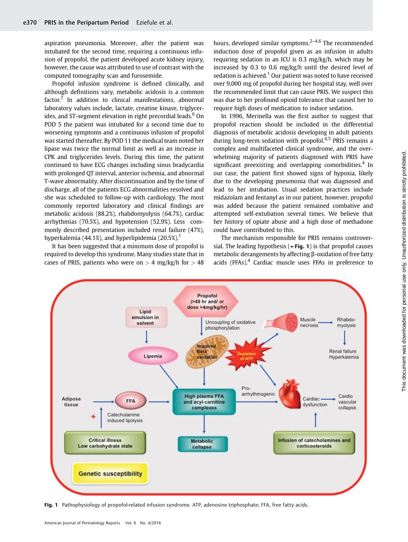aspiration pneumonia. Moreover, after the patient was intubated for the second time, requiring a continuous infusion of propofol, the patient developed acute kidney injury, however, the cause was attributed to use of contrast with the computed tomography scan and furosemide.

Propofol infusion syndrome is defined clinically, and although definitions vary, metabolic acidosis is a common  $factor<sup>7</sup>$  In addition to clinical manifestations, abnormal laboratory values include, lactate, creatine kinase, triglycerides, and ST-segment elevation in right precordial leads.<sup>6</sup> On POD 5 the patient was intubated for a second time due to worsening symptoms and a continuous infusion of propofol was started thereafter. By POD 11 the medical team noted her lipase was twice the normal limit as well as an increase in CPK and triglycerides levels. During this time, the patient continued to have ECG changes including sinus bradycardia with prolonged QT interval, anterior ischemia, and abnormal T-wave abnormality. After discontinuation and by the time of discharge, all of the patients ECG abnormalities resolved and she was scheduled to follow-up with cardiology. The most commonly reported laboratory and clinical findings are metabolic acidosis (88.2%), rhabdomyolysis (64.7%), cardiac arrhythmias (70.5%), and hypotension (52.9%). Less commonly described presentation included renal failure (47%), hyperkalemia (44.1%), and hyperlipidemia (20.5%).<sup>1</sup>

It has been suggested that a minimum dose of propofol is required to develop this syndrome. Many studies state that in cases of PRIS, patients who were on  $> 4$  mg/kg/h for  $> 48$  hours, developed similar symptoms.<sup>2-4,6</sup> The recommended induction dose of propofol given as an infusion in adults requiring sedation in an ICU is 0.3 mg/kg/h, which may be increased by 0.3 to 0.6 mg/kg/h until the desired level of sedation is achieved.<sup>1</sup> Our patient was noted to have received over 9,000 mg of propofol during her hospital stay, well over the recommended limit that can cause PRIS. We suspect this was due to her profound opioid tolerance that caused her to require high doses of medication to induce sedation.

In 1996, Merinella was the first author to suggest that propofol reaction should be included in the differential diagnosis of metabolic acidosis developing in adult patients during long-term sedation with propofol.<sup>4,5</sup> PRIS remains a complex and multifaceted clinical syndrome, and the overwhelming majority of patients diagnosed with PRIS have significant preexisting and overlapping comorbidities.<sup>4</sup> In our case, the patient first showed signs of hypoxia, likely due to the developing pneumonia that was diagnosed and lead to her intubation. Usual sedation practices include midazolam and fentanyl as in our patient, however, propofol was added because the patient remained combative and attempted self-extubation several times. We believe that her history of opiate abuse and a high dose of methadone could have contributed to this.

The mechanism responsible for PRIS remains controversial. The leading hypothesis ( $\blacktriangleright$  Fig. 1) is that propofol causes metabolic derangements by affecting β-oxidation of free fatty acids (FFAs).<sup>4</sup> Cardiac muscle uses FFAs in preference to



Fig. 1 Pathophysiology of propofol-related infusion syndrome. ATP, adenosine triphosphate; FFA, free fatty acids.